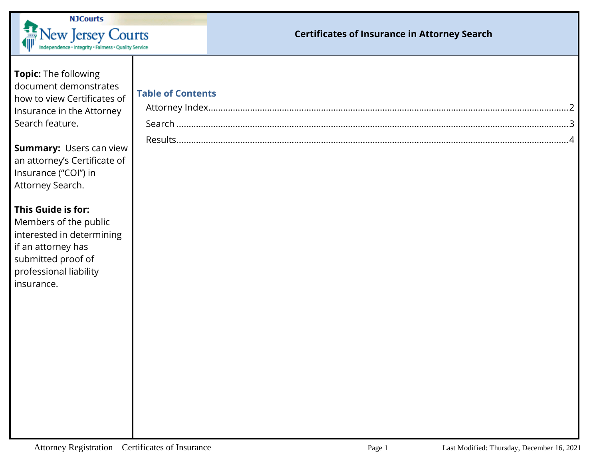

## **Certificates of Insurance in Attorney Search**

| Topic: The following<br>document demonstrates<br>how to view Certificates of<br>Insurance in the Attorney<br>Search feature.                                 | <b>Table of Contents</b> |
|--------------------------------------------------------------------------------------------------------------------------------------------------------------|--------------------------|
| <b>Summary: Users can view</b><br>an attorney's Certificate of<br>Insurance ("COI") in<br>Attorney Search.                                                   |                          |
| This Guide is for:<br>Members of the public<br>interested in determining<br>if an attorney has<br>submitted proof of<br>professional liability<br>insurance. |                          |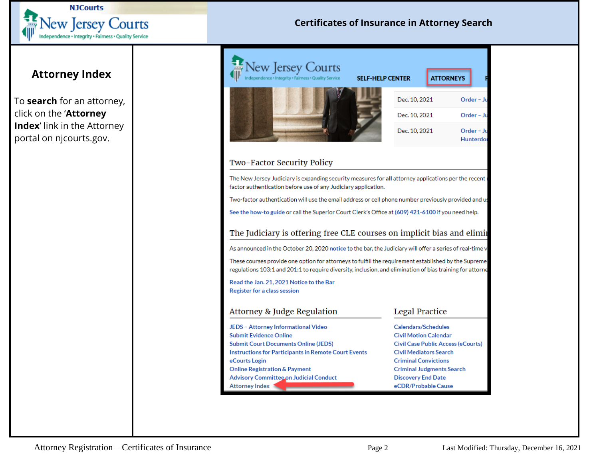

## **Certificates of Insurance in Attorney Search**

## <span id="page-1-0"></span>**Attorney Index**

To **search** for an attorney, click on the '**Attorney Index**' link in the Attorney portal on njcourts.gov.

| New Jersey Courts<br>ndependence · Integrity · Fairness · Quality Service                                                                                                                                                                                                                                                                                                                                        | <b>SELF-HELP CENTER</b> | <b>ATTORNEYS</b>                                                           |                         |  |  |                                     |  |                            |  |  |
|------------------------------------------------------------------------------------------------------------------------------------------------------------------------------------------------------------------------------------------------------------------------------------------------------------------------------------------------------------------------------------------------------------------|-------------------------|----------------------------------------------------------------------------|-------------------------|--|--|-------------------------------------|--|----------------------------|--|--|
|                                                                                                                                                                                                                                                                                                                                                                                                                  | Dec. 10, 2021           |                                                                            | Order - Ju              |  |  |                                     |  |                            |  |  |
|                                                                                                                                                                                                                                                                                                                                                                                                                  | Dec. 10, 2021           |                                                                            | Order - Ju              |  |  |                                     |  |                            |  |  |
|                                                                                                                                                                                                                                                                                                                                                                                                                  | Dec. 10, 2021           |                                                                            | Order - Ju<br>Hunterdor |  |  |                                     |  |                            |  |  |
| Two-Factor Security Policy                                                                                                                                                                                                                                                                                                                                                                                       |                         |                                                                            |                         |  |  |                                     |  |                            |  |  |
| The New Jersey Judiciary is expanding security measures for all attorney applications per the recent<br>factor authentication before use of any Judiciary application.                                                                                                                                                                                                                                           |                         |                                                                            |                         |  |  |                                     |  |                            |  |  |
| : Two-factor authentication will use the email address or cell phone number previously provided and u                                                                                                                                                                                                                                                                                                            |                         |                                                                            |                         |  |  |                                     |  |                            |  |  |
| See the how-to guide or call the Superior Court Clerk's Office at (609) 421-6100 if you need help.                                                                                                                                                                                                                                                                                                               |                         |                                                                            |                         |  |  |                                     |  |                            |  |  |
| The Judiciary is offering free CLE courses on implicit bias and elimii                                                                                                                                                                                                                                                                                                                                           |                         |                                                                            |                         |  |  |                                     |  |                            |  |  |
| As announced in the October 20, 2020 notice to the bar, the Judiciary will offer a series of real-time v<br>These courses provide one option for attorneys to fulfill the requirement established by the Supreme<br>regulations 103:1 and 201:1 to require diversity, inclusion, and elimination of bias training for attorne<br>Read the Jan. 21, 2021 Notice to the Bar<br><b>Register for a class session</b> |                         |                                                                            |                         |  |  |                                     |  |                            |  |  |
|                                                                                                                                                                                                                                                                                                                                                                                                                  |                         |                                                                            |                         |  |  | Attorney & Judge Regulation         |  | <b>Legal Practice</b>      |  |  |
|                                                                                                                                                                                                                                                                                                                                                                                                                  |                         |                                                                            |                         |  |  | JEDS - Attorney Informational Video |  | <b>Calendars/Schedules</b> |  |  |
| <b>Submit Evidence Online</b>                                                                                                                                                                                                                                                                                                                                                                                    |                         | <b>Civil Motion Calendar</b>                                               |                         |  |  |                                     |  |                            |  |  |
| <b>Submit Court Documents Online (JEDS)</b><br><b>Instructions for Participants in Remote Court Events</b>                                                                                                                                                                                                                                                                                                       |                         | <b>Civil Case Public Access (eCourts)</b><br><b>Civil Mediators Search</b> |                         |  |  |                                     |  |                            |  |  |
| eCourts Login                                                                                                                                                                                                                                                                                                                                                                                                    |                         | <b>Criminal Convictions</b>                                                |                         |  |  |                                     |  |                            |  |  |
| <b>Online Registration &amp; Payment</b>                                                                                                                                                                                                                                                                                                                                                                         |                         | <b>Criminal Judgments Search</b>                                           |                         |  |  |                                     |  |                            |  |  |
| <b>Advisory Committee on Judicial Conduct</b>                                                                                                                                                                                                                                                                                                                                                                    |                         | <b>Discovery End Date</b>                                                  |                         |  |  |                                     |  |                            |  |  |
| <b>Attorney Index</b>                                                                                                                                                                                                                                                                                                                                                                                            |                         | eCDR/Probable Cause                                                        |                         |  |  |                                     |  |                            |  |  |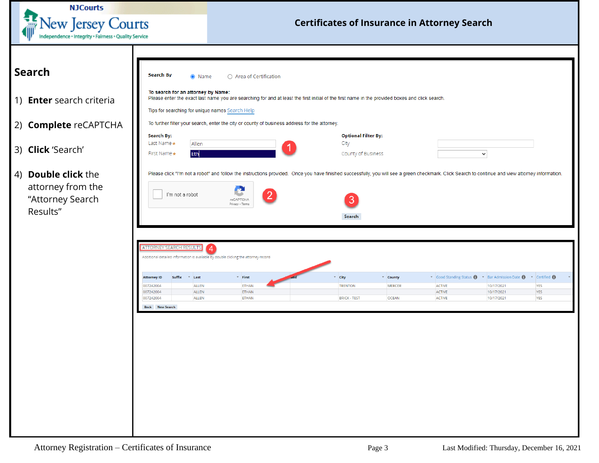<span id="page-2-0"></span>